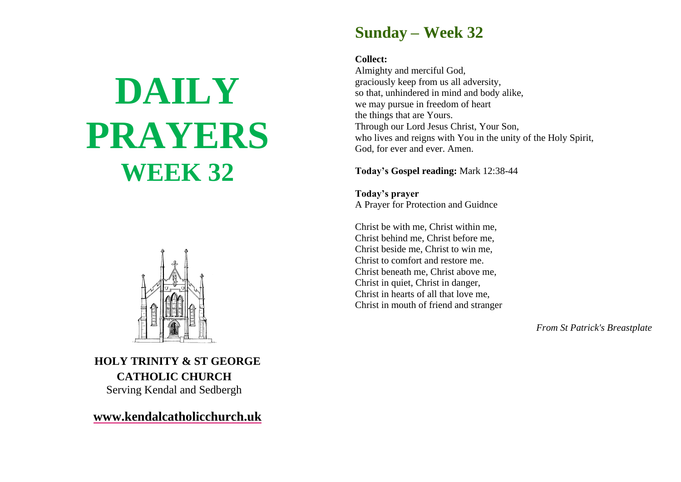# **DAILY PRAYERS WEEK 32**



**HOLY TRINITY & ST GEORGE CATHOLIC CHURCH** Serving Kendal and Sedbergh

**[www.kendalcatholicchurch.uk](http://www.kendalcatholicchurch.uk/)**

### **Sunday – Week 32**

#### **Collect:**

Almighty and merciful God, graciously keep from us all adversity, so that, unhindered in mind and body alike, we may pursue in freedom of heart the things that are Yours. Through our Lord Jesus Christ, Your Son, who lives and reigns with You in the unity of the Holy Spirit, God, for ever and ever. Amen.

**Today's Gospel reading:** Mark 12:38-44

**Today's prayer** A Prayer for Protection and Guidnce

Christ be with me, Christ within me, Christ behind me, Christ before me, Christ beside me, Christ to win me, Christ to comfort and restore me. Christ beneath me, Christ above me, Christ in quiet, Christ in danger, Christ in hearts of all that love me, Christ in mouth of friend and stranger

*From St Patrick's Breastplate*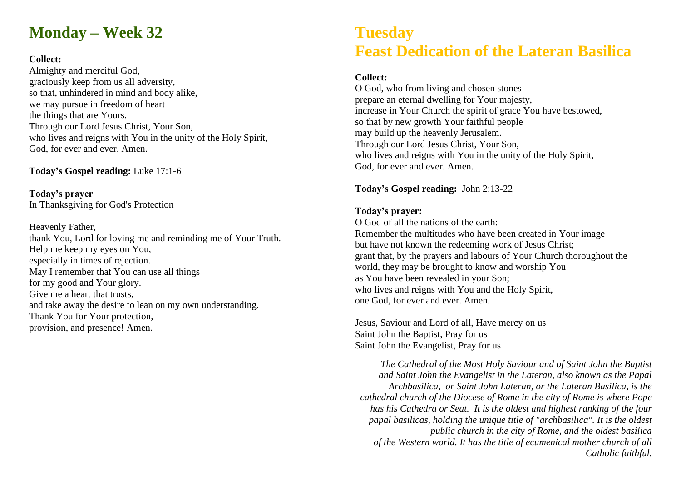## **Monday – Week 32**

#### **Collect:**

Almighty and merciful God, graciously keep from us all adversity, so that, unhindered in mind and body alike, we may pursue in freedom of heart the things that are Yours. Through our Lord Jesus Christ, Your Son, who lives and reigns with You in the unity of the Holy Spirit, God, for ever and ever. Amen.

**Today's Gospel reading:** Luke 17:1-6

**Today's prayer** In Thanksgiving for God's Protection

Heavenly Father, thank You, Lord for loving me and reminding me of Your Truth. Help me keep my eyes on You, especially in times of rejection. May I remember that You can use all things for my good and Your glory. Give me a heart that trusts, and take away the desire to lean on my own understanding. Thank You for Your protection, provision, and presence! Amen.

## **Tuesday Feast Dedication of the Lateran Basilica**

#### **Collect:**

O God, who from living and chosen stones prepare an eternal dwelling for Your majesty, increase in Your Church the spirit of grace You have bestowed, so that by new growth Your faithful people may build up the heavenly Jerusalem. Through our Lord Jesus Christ, Your Son, who lives and reigns with You in the unity of the Holy Spirit, God, for ever and ever. Amen.

#### **Today's Gospel reading:** John 2:13-22

#### **Today's prayer:**

O God of all the nations of the earth: Remember the multitudes who have been created in Your image but have not known the redeeming work of Jesus Christ; grant that, by the prayers and labours of Your Church thoroughout the world, they may be brought to know and worship You as You have been revealed in your Son; who lives and reigns with You and the Holy Spirit, one God, for ever and ever. Amen.

Jesus, Saviour and Lord of all, Have mercy on us Saint John the Baptist, Pray for us Saint John the Evangelist, Pray for us

*The Cathedral of the Most Holy Saviour and of Saint John the Baptist and Saint John the Evangelist in the Lateran, also known as the Papal Archbasilica, or Saint John Lateran, or the Lateran Basilica, is the cathedral church of the Diocese of Rome in the city of Rome is where Pope has his Cathedra or Seat. It is the oldest and highest ranking of the four papal basilicas, holding the unique title of "archbasilica". It is the oldest public church in the city of Rome, and the oldest basilica of the Western world. It has the title of ecumenical mother church of all Catholic faithful.*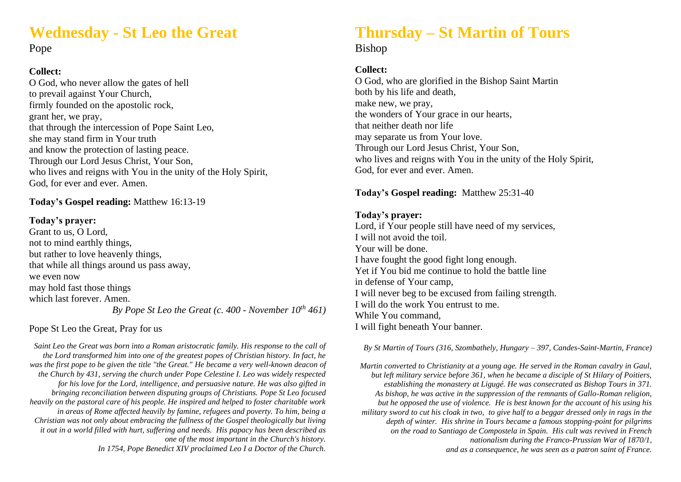## **Wednesday - St Leo the Great**

Pope

#### **Collect:**

O God, who never allow the gates of hell to prevail against Your Church, firmly founded on the apostolic rock, grant her, we pray, that through the intercession of Pope Saint Leo, she may stand firm in Your truth and know the protection of lasting peace. Through our Lord Jesus Christ, Your Son, who lives and reigns with You in the unity of the Holy Spirit, God, for ever and ever. Amen.

#### **Today's Gospel reading:** Matthew 16:13-19

#### **Today's prayer:**

Grant to us, O Lord, not to mind earthly things, but rather to love heavenly things, that while all things around us pass away, we even now may hold fast those things which last forever. Amen. *By Pope St Leo the Great (c. 400 - November 10th 461)*

#### Pope St Leo the Great, Pray for us

*Saint Leo the Great was born into a Roman aristocratic family. His response to the call of the Lord transformed him into one of the greatest popes of Christian history. In fact, he was the first pope to be given the title "the Great." He became a very well-known deacon of the Church by 431, serving the church under Pope Celestine I. Leo was widely respected for his love for the Lord, intelligence, and persuasive nature. He was also gifted in bringing reconciliation between disputing groups of Christians. Pope St Leo focused heavily on the pastoral care of his people. He inspired and helped to foster charitable work in areas of Rome affected heavily by famine, refugees and poverty. To him, being a Christian was not only about embracing the fullness of the Gospel theologically but living it out in a world filled with hurt, suffering and needs. His papacy has been described as one of the most important in the Church's history. In 1754, Pope Benedict XIV proclaimed Leo I a Doctor of the Church.* 

## **Thursday – St Martin of Tours**

#### Bishop

#### **Collect:**

O God, who are glorified in the Bishop Saint Martin both by his life and death, make new, we pray, the wonders of Your grace in our hearts, that neither death nor life may separate us from Your love. Through our Lord Jesus Christ, Your Son, who lives and reigns with You in the unity of the Holy Spirit, God, for ever and ever. Amen.

#### **Today's Gospel reading:** Matthew 25:31-40

#### **Today's prayer:**

Lord, if Your people still have need of my services, I will not avoid the toil. Your will be done. I have fought the good fight long enough. Yet if You bid me continue to hold the battle line in defense of Your camp, I will never beg to be excused from failing strength. I will do the work You entrust to me. While You command, I will fight beneath Your banner.

*By St Martin of Tours (316, Szombathely, Hungary – 397, Candes-Saint-Martin, France)*

*Martin converted to Christianity at a young age. He served in the Roman cavalry in Gaul, but left military service before 361, when he became a disciple of St Hilary of Poitiers, establishing the monastery at Ligugé. He was consecrated as Bishop Tours in 371. As bishop, he was active in the suppression of the remnants of Gallo-Roman religion, but he opposed the use of violence. He is best known for the account of his using his military sword to cut his cloak in two, to give half to a beggar dressed only in rags in the depth of winter. His shrine in Tours became a famous stopping-point for pilgrims on the road to Santiago de Compostela in Spain. His cult was revived in French nationalism during the Franco-Prussian War of 1870/1, and as a consequence, he was seen as a patron saint of France.*